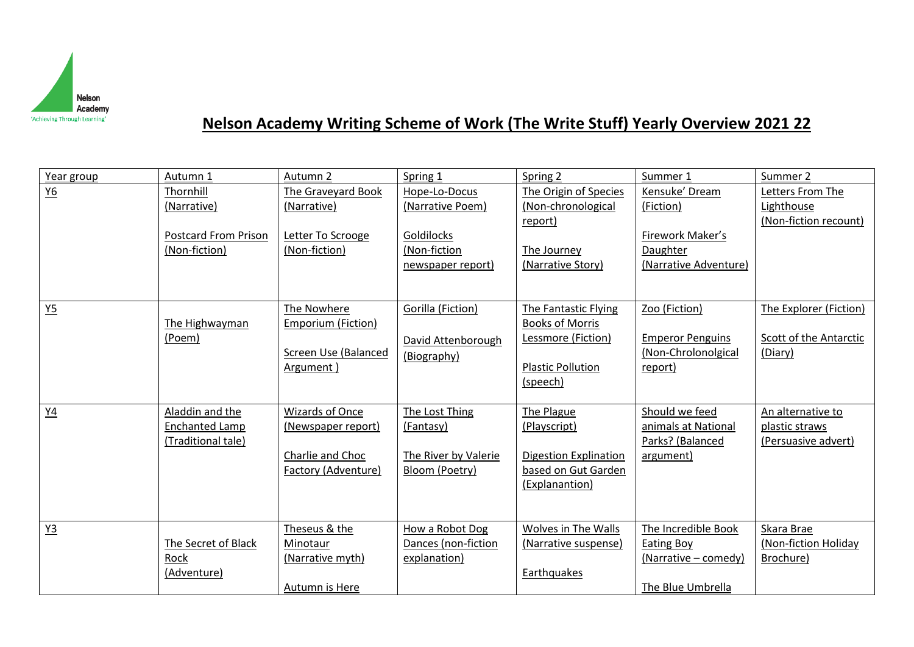

## **Nelson Academy Writing Scheme of Work (The Write Stuff) Yearly Overview 2021 22**

| Year group     | Autumn 1                             | Autumn 2                  | Spring 1                          | Spring 2                                     | Summer 1                                | Summer 2                              |
|----------------|--------------------------------------|---------------------------|-----------------------------------|----------------------------------------------|-----------------------------------------|---------------------------------------|
| $Y6$           | Thornhill                            | The Graveyard Book        | Hope-Lo-Docus                     | The Origin of Species                        | Kensuke' Dream                          | Letters From The                      |
|                | (Narrative)                          | (Narrative)               | (Narrative Poem)                  | (Non-chronological<br>report)                | (Fiction)                               | Lighthouse<br>(Non-fiction recount)   |
|                | <b>Postcard From Prison</b>          | Letter To Scrooge         | Goldilocks                        |                                              | Firework Maker's                        |                                       |
|                | (Non-fiction)                        | (Non-fiction)             | (Non-fiction                      | The Journey                                  | Daughter                                |                                       |
|                |                                      |                           | newspaper report)                 | (Narrative Story)                            | (Narrative Adventure)                   |                                       |
|                |                                      |                           |                                   |                                              |                                         |                                       |
| Y <sub>5</sub> |                                      | The Nowhere               | Gorilla (Fiction)                 | The Fantastic Flying                         | Zoo (Fiction)                           | The Explorer (Fiction)                |
|                | The Highwayman<br>(Poem)             | <b>Emporium (Fiction)</b> |                                   | <b>Books of Morris</b><br>Lessmore (Fiction) | <b>Emperor Penguins</b>                 | Scott of the Antarctic                |
|                |                                      | Screen Use (Balanced      | David Attenborough<br>(Biography) |                                              | (Non-Chrolonolgical                     | (Diary)                               |
|                |                                      | Argument)                 |                                   | <b>Plastic Pollution</b>                     | report)                                 |                                       |
|                |                                      |                           |                                   | (speech)                                     |                                         |                                       |
|                |                                      |                           |                                   |                                              |                                         |                                       |
| Y4             | Aladdin and the                      | <b>Wizards of Once</b>    | The Lost Thing                    | The Plague                                   | Should we feed                          | An alternative to                     |
|                | Enchanted Lamp<br>(Traditional tale) | (Newspaper report)        | (Fantasy)                         | (Playscript)                                 | animals at National<br>Parks? (Balanced | plastic straws<br>(Persuasive advert) |
|                |                                      | Charlie and Choc          | The River by Valerie              | <b>Digestion Explination</b>                 | argument)                               |                                       |
|                |                                      | Factory (Adventure)       | Bloom (Poetry)                    | based on Gut Garden                          |                                         |                                       |
|                |                                      |                           |                                   | (Explanantion)                               |                                         |                                       |
|                |                                      |                           |                                   |                                              |                                         |                                       |
| Y3             |                                      | Theseus & the             | How a Robot Dog                   | Wolves in The Walls                          | The Incredible Book                     | Skara Brae                            |
|                | The Secret of Black                  | Minotaur                  | Dances (non-fiction               | (Narrative suspense)                         | <b>Eating Boy</b>                       | (Non-fiction Holiday                  |
|                | Rock                                 | (Narrative myth)          | explanation)                      |                                              | (Narrative – comedy)                    | Brochure)                             |
|                | (Adventure)                          |                           |                                   | Earthquakes                                  |                                         |                                       |
|                |                                      | Autumn is Here            |                                   |                                              | The Blue Umbrella                       |                                       |